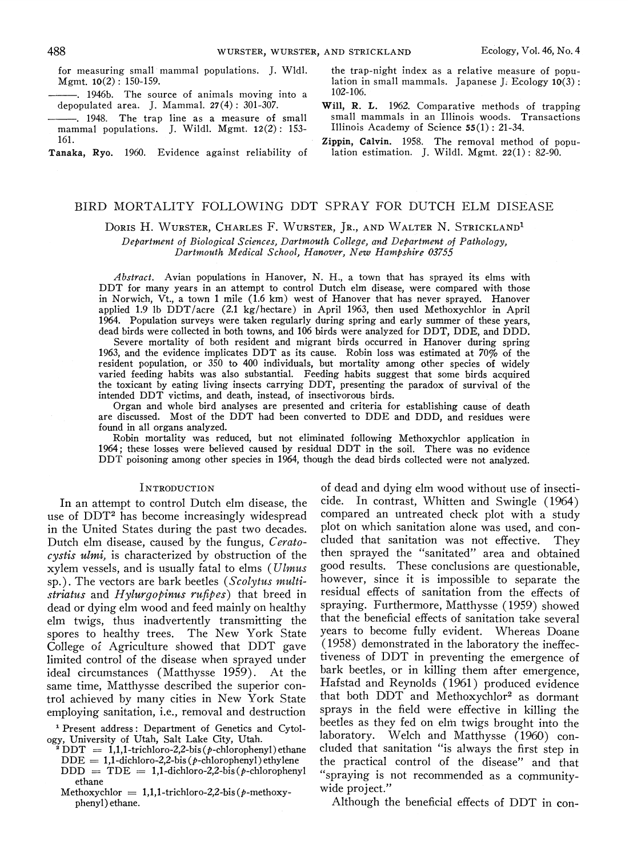488<br>
For measuring small manumal populations. J. Wldl. the trap<br>
Mgmt. 10(2): 150-159.<br>
1946b. The source of animals moving into a lo2-106.<br>
102-106.<br>
1048 The trap line a log into a log small manumal and the small moving

- $-$  1946b. The source of animals moving into a  $102-106$ .<br>depopulated area. J. Mammal. 27(4): 301-307. Will, R. L. 1962. Comparative methods of trapping
- mammal populations. J. Wildl. Mgmt.  $12(2)$ : 153-161.

Tanaka, Ryo. 1960. Evidence against reliability of

for measuring small mammal populations. J. Wldl. the trap-night index as a relative measure of popu-<br>Mgmt.  $10(2)$ : 150-159.<br>lation in small mammals. Japanese J. Ecology  $10(3)$ : lation in small mammals. Japanese J. Ecology  $10(3)$ :  $102-106$ .

- 1948. The trap line as a measure of small small mammals in an Illinois woods. Transactions<br>mmal populations. J. Wildl. Mgmt. 12(2): 153- Illinois Academy of Science 55(1): 21-34.
	- Zippin, Calvin. 1958. The removal method of population estimation. J. Wildl. Mgmt.  $22(1)$ : 82-90.

#### BIRD MORTALITY FOLLOWING DDT SPRAY FOR DUTCH ELM DISEASE

DORIS H. WURSTER, CHARLES F. WURSTER, JR., AND WALTER N. STRICKLAND<sup>1</sup>

Department of Biological Sciences, Dartmouth College, and Department of Pathology, Dartmouth Medical School, Hanover, New Hampshire 03755

Abstract. Avian populations in Hanover, N. H., a town that has sprayed its elms with DDT for many years in an attempt to control Dutch elm disease, were compared with those in Norwich, Vt., a town 1 mile (1.6 km) west of Hanover that has never sprayed. Hanover applied 1.9 lb DDT/acre (2.1 kg/hectare) in April 1963, then used Methoxychlor in April 1964. Population surveys were taken regularly during spring and early summer of these years, dead birds were collected in both towns, and 106 birds were analyzed for DDT, DDE, and DDD.

Severe mortality of both resident and migrant birds occurred in Hanover during spring 1963, and the evidence implicates DDT as its cause. Robin loss was estimated at 70% of the resident population, or 350 to 400 individuals, but mortality among other species of widely varied feeding habits was also substantial. Feeding habits suggest that some birds acquired the toxicant by eating living insects carrying DDT, presenting the paradox of survival of the intended DDT victims, and death, instead, of insectivorous birds.

Organ and whole bird analyses are presented and criteria for establishing cause of death are discussed. Most of the DDT had been converted to DDE and DDD, and residues were found in all organs analyzed.

Robin mortality was reduced, but not eliminated following Methoxychlor application in 1964; these losses were believed caused by residual DDT in the soil. There was no evidence DDT poisoning among other species in 1964, though the dead birds collected were not analyzed.

#### INTRODUCTION

use of  $DDT<sup>2</sup>$  has become increasingly widespread in the United States during the past two decades. plot on which sanitation alone was used, and con-<br>Dutch elm disease, caused by the fungus,  $Cerata$ - cluded that sanitation was not effective. They Dutch elm disease, caused by the fungus, Ceratocystis ulmi, is characterized by obstruction of the then sprayed the "sanitated" area and obtained xylem vessels, and is usually fatal to elms (*Ulmus* good results. These conclusions are questionable, sp.) The vectors are bark beetles (*Scolvtus multi-* however, since it is impossible to separate the sp.). The vectors are bark beetles (Scolytus multi- however, since it is impossible to separate the striatus and Hylurgopinus rufibes) that breed in residual effects of sanitation from the effects of  $s$ triatus and Hylurgopinus rufipes) that breed in dead or dying elm wood and feed mainly on healthy spraying. Furthermore, Matthysse (1959) showed<br>elm twigs, thus inadvertently transmitting the that the beneficial effects of sanitation take several spores to healthy trees. The New York State College of Agriculture showed that DDT gave (1958) demonstrated in the laboratory the ineffeclimited control of the disease when sprayed under tiveness of DDT in preventing the emergence of ideal circumstances (Matthysse 1959). At the bark beetles, or in killing them after emergence, same time, Matthysse described the superior con-<br>trol achieved by many cities in New York State that both DDT and Methoxychlor<sup>2</sup> as dormant employing sanitation, i.e., removal and destruction

Methoxychlor  $= 1,1,1$ -trichloro-2,2-bis( $p$ -methoxyphenyl) ethane.

of dead and dying elm wood without use of insecti-In an attempt to control Dutch elm disease, the cide. In contrast, Whitten and Swingle (1964) e of DDT<sup>2</sup> has become increasingly widespread compared an untreated check plot with a study that the beneficial effects of sanitation take several years to become fully evident. Whereas Doane that both DDT and Methoxychlor<sup>2</sup> as dormant sprays in the field were effective in killing the beetles as they fed on elm twigs brought into the<br>Present address: Department of Genetics and Cytol-<br>present address: Department of Genetics and Cytol-<br>laboratory. Welch and Matthysse (1960) connogy, University of Utah, Salt Lake City, Utah.<br>
<sup>2</sup>DDT = 1,1,1-trichloro-2,2-bis (p-chlorophenyl) ethane cluded that sanitation "is always the first step in DDT = 1,1,1-trichloro-2,2-bis (p-chlorophenyl) ethane cluded that sanitation "is always the first step in<br>DDE = 1,1-dichloro-2,2-bis (p-chlorophenyl) ethylene the practical control of the disease" and that<br>DDD = TDE = 1,1  $DD = TDE = 1,1$ -dichloro-2,2-bis(p-chlorophenyl "spraying is not recommended as a community-<br>ethane<br>thexychlor = 1.1.1 trichloro.2.2 bis(p-methoxy, wide project."

Although the beneficial effects of DDT in con-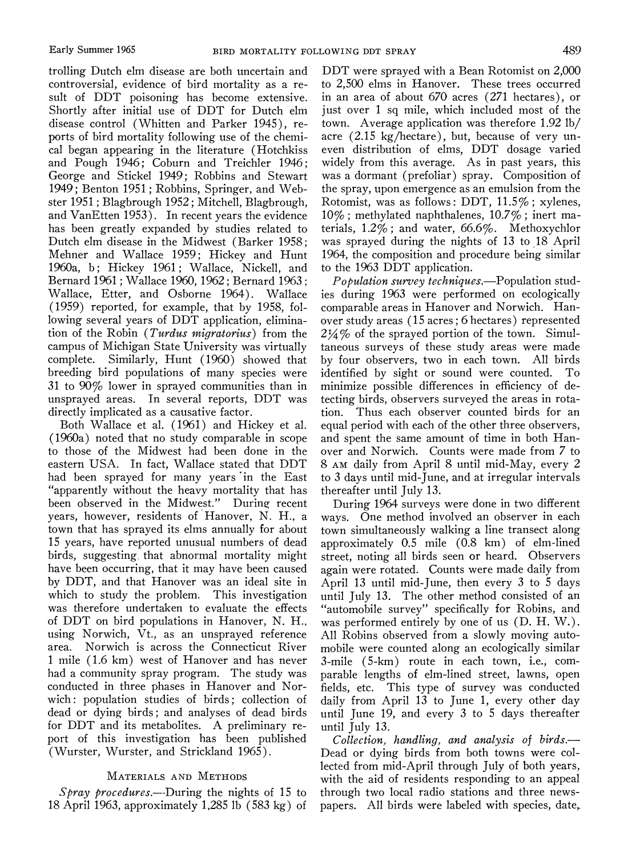trolling Dutch elm disease are both uncertain and controversial, evidence of bird mortality as a result of DDT poisoning has become extensive. Shortly after initial use of DDT for Dutch elm disease control (Whitten and Parker 1945), reports of bird mortality following use of the chemical began appearing in the literature (Hotchkiss and Pough 1946; Coburn and Treichler 1946; George and Stickel 1949; Robbins and Stewart 1949; Benton 1951; Robbins, Springer, and Webster 1951; Blagbrough 1952; Mitchell, Blagbrough, and VanEtten 1953). In recent years the evidence has been greatly expanded by studies related to Dutch elm disease in the Midwest (Barker 1958; Mehner and Wallace 1959; Hickey and Hunt 1960a, b; Hickey 1961; Wallace, Nickell, and Bernard 1961 ;Wallace 1960, 1962 ; Bernard 1963 : Wallace, Etter, and Osborne 1964). Wallace (1959) reported, for example, that by 1958, following several years of DDT application, elimination of the Robin (Turdus migratorius) from the campus of Michigan State University was virtually complete. Similarly, Hunt ( 1960) showed that breeding bird populations of many species were 31 to 90% lower in sprayed communities than in unsprayed areas. In several reports, DDT was directly implicated as a causative factor.

Both Wallace et al. (1961) and Hickey et al. (1960a) noted that no study comparable in scope to those of the Midwest had been done in the eastern USA. In fact, Wallace stated that DDT had been sprayed for many years 'in the East "apparently without the heavy mortality that has been observed in the Midwest." During recent years, however, residents of Hanover, N. H., a town that has sprayed its elms annually for about 15 years, have reported unusual numbers of dead birds, suggesting that abnormal mortality might have been occurring, that it may have been caused by DDT, and that Hanover was an ideal site in which to study the problem. This investigation was therefore undertaken to evaluate the effects of DDT on bird populations in Hanover, N. H., using Norwich, Vt., as an unsprayed reference area. Norwich is across the Connecticut River 1 mile (1.6 km) west of Hanover and has never had a community spray program. The study was conducted in three phases in Hanover and Norwich: population studies of birds; collection of dead or dying birds; and analyses of dead birds for DDT and its metabolites. A preliminary report of this investigation has been published (Wurster, Wurster, and Strickland 1965).

#### MATERIALS AND METHODS

Spray procedures.—During the nights of 15 to 18 April 1963, approximately 1,285 lb (583 kg) of

DDT were sprayed with a Bean Rotomist on 2,000 to 2,500 elms in Hanover. These trees occurred in an area of about 670 acres (271 hectares), or just over 1 sq mile, which included most of the town. Average application was therefore 1.92 lb/ acre (2.15 kg/hectare), but, because of very uneven distribution of elms, DDT dosage varied widely from this average. As in past years, this was a dormant (prefoliar) spray. Composition of the spray, upon emergence as an emulsion from the Rotomist, was as follows: DDT,  $11.5\%$ ; xylenes, 10% ; methylated naphthalenes, 10.7% ; inert materials, 1.2% ; and water, 66.6%. Methoxychlor was sprayed during the nights of 13 to 18 April 1964, the composition and procedure being similar to the 1%3 DDT application.

 $P$ opulation survey techniques.—Population studies during 1963 were performed on ecologically comparable areas in Hanover and Norwich. Hanover study areas (15 acres; 6hectares) represented  $2\frac{1}{4}\%$  of the sprayed portion of the town. Simultaneous surveys of these study areas were made by four observers, two in each town. All birds identified by sight or sound were counted. To minimize possible differences in efficiency of detecting birds, observers surveyed the areas in rotation. Thus each observer counted birds for an equal period with each of the other three observers, and spent the same amount of time in both Hanover and Norwich. Counts were made from 7 to 8 AM daily from April 8 until mid-May, every 2 to 3 days until mid-June, and at irregular intervals thereafter until July 13.

During 1964 surveys were done in two different ways. One method involved an observer in each town simultaneously walking a line transect along approximately 0.5 mile (0.8 km) of elm-lined street, noting all birds seen or heard. Observers again were rotated. Counts were made daily from April 13 until mid-June, then every 3 to 5 days until July 13. The other method consisted of an "automobile survey" specifically for Robins, and was performed entirely by one of us (D. H. W.). All Robins observed from a slowly moving automobile were counted along an ecologically similar 3-mile (5-km) route in each town, i.e., comparable lengths of elm-lined street, lawns, open fields, etc. This type of survey was conducted daily from April 13 to June 1, every other day until June 19, and every 3 to 5 days thereafter until July 13.

 $Collection$ , handling, and analysis of birds.— Dead or dying birds from both towns were collected from mid-April through July of both years, with the aid of residents responding to an appeal through two local radio stations and three newspapers. All birds were labeled with species, date,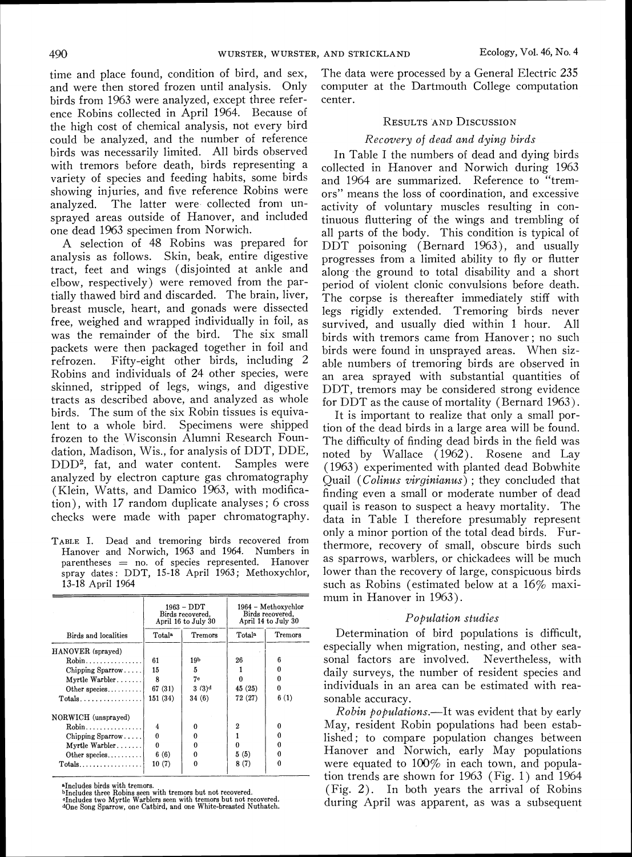time and place found, condition of bird, and sex, and were then stored frozen until analysis. Only birds from 1963 were analyzed, except three reference Robins collected in April 1964. Because of the high cost of chemical analysis, not every bird could be analyzed, and the number of reference birds was necessarily limited. All birds observed with tremors before death, birds representing a variety of species and feeding habits, some birds showing injuries, and five reference Robins were analyzed. The latter were collected from unsprayed areas outside of Hanover, and included one dead 1963 specimen from Norwich.

A selection of 48 Robins was prepared for analysis as follows. Skin, beak, entire digestive tract, feet and wings (disjointed at ankle and elbow, respectively) were removed from the partially thawed bird and discarded. The brain, liver, breast muscle, heart, and gonads were dissected free, weighed and wrapped individually in foil, as was the remainder of the bird. packets were then packaged together in foil and refrozen. Fifty-eight other birds, including 2 Robins and individuals of 24 other species, were skinned, stripped of legs, wings, and digestive tracts as described above, and analyzed as whole birds. The sum of the six Robin tissues is equivalent to a whole bird. Specimens were shipped frozen to the Wisconsin Alumni Research Foundation, Madison, Wis., for analysis of DDT, DDE, DDD2, fat, and water content. Samples were analyzed by electron capture gas chromatography (Klein, Watts, and Damico 1963, with modification), with 17 random duplicate analyses; 6 cross checks were made with paper chromatography.

TABLEI. Dead and tremoring birds recovered from Hanover and Norwich, 1963 and 1964. Numbers in parentheses = no. of species represented. Hanover spray dates: DDT, 15-18 April 1963; Methoxychlor, 13-18 April 1964

|                              |                          | 1963 – DDT<br>Birds recovered.<br>April 16 to July 30 | 1964 – Methoxychlor<br>Birds recovered.<br>April 14 to July 30 |         |  |  |
|------------------------------|--------------------------|-------------------------------------------------------|----------------------------------------------------------------|---------|--|--|
| Birds and localities         | Totala<br><b>Tremors</b> |                                                       | Totala                                                         | Tremors |  |  |
| HANOVER (sprayed)            |                          |                                                       |                                                                |         |  |  |
| $Robin \ldots \ldots \ldots$ | 61                       | 19 <sub>b</sub>                                       | 26                                                             |         |  |  |
| Chipping $Sparrow$           | 15                       | 5                                                     |                                                                |         |  |  |
| Myrtle Warbler               | 8                        | 7с                                                    |                                                                |         |  |  |
| Other species                | 67 (31)                  | $3(3)^d$                                              | 45 (25)                                                        | 0       |  |  |
| $Totals$                     | 151 (34)                 | 34 (6)                                                | 72 (27)                                                        | 6(1)    |  |  |
| NORWICH (unsprayed)          |                          |                                                       |                                                                |         |  |  |
| $Robin \ldots \ldots \ldots$ | 4                        | 0                                                     | 2                                                              |         |  |  |
| Chipping Sparrow             | $\bf{0}$                 |                                                       |                                                                |         |  |  |
| Myrtle Warbler               | $\theta$                 |                                                       |                                                                |         |  |  |
| Other species                | 6(6)                     | 0                                                     | 5(5)                                                           |         |  |  |
| $Totals$                     | 10(7)                    | o                                                     | 8(7)                                                           |         |  |  |

¤Includes birds with tremors.<br>¤Includes three Robins seen with tremors but not recovered.<br>¤Includes two Myrtle Warblers seen with tremors but not recovered.<br>«One Song Sparrow, one Catbird, and one White-breasted Nuthatch.

The data were processed by a General Electric 235 computer at the Dartmouth College computation center.

#### **RESULTS AND DISCUSSION**

#### Recovery of dead and dying birds

In Table I the numbers of dead and dying birds collected in Hanover and Norwich during 1963 and 1964 are summarized. Reference to "tremors" means the loss of coordination, and excessive activity of voluntary muscles resulting in continuous fluttering of the wings and trembling of all parts of the body. This condition is typical of DDT poisoning (Bernard 1963), and usually progresses from a limited ability to fly or flutter along the ground to total disability and a short period of violent clonic convulsions before death. The corpse is thereafter immediately stiff with legs rigidly extended. Tremoring birds never survived, and usually died within 1 hour. All birds with tremors came from Hanover; no such birds were found in unsprayed areas. When sizable numbers of tremoring birds are observed in an area sprayed with substantial quantities of DDT, tremors may be considered strong evidence for DDT as the cause of mortality (Bernard 1963).

It is important to realize that only a small portion of the dead birds in a large area will be found. The difficulty of finding dead birds in the field was noted by Wallace (1962). Rosene and Lay (1963) experimented with planted dead Bobwhite Quail (Colinus virginianus); they concluded that finding even a small or moderate number of dead quail is reason to suspect a heavy mortality. The data in Table I therefore presumably represent only a minor portion of the total dead birds. Furthermore, recovery of small, obscure birds such as sparrows, warblers, or chickadees will be much lower than the recovery of large, conspicuous birds such as Robins (estimated below at a  $16\%$  maximum in Hanover in 1963).

#### Population studies

Determination of bird populations is difficult, especially when migration, nesting, and other seasonal factors are involved. Nevertheless, with daily surveys, the number of resident species and individuals in an area can be estimated with reasonable accuracy.

 $Robin$  populations.—It was evident that by early May, resident Robin populations had been established; to compare population changes between Hanover and Norwich, early May populations were equated to 100% in each town, and population trends are shown for 1963 (Fig. 1) and 1964 (Fig. 2). In both years the arrival of Robins during April was apparent, as was a subsequent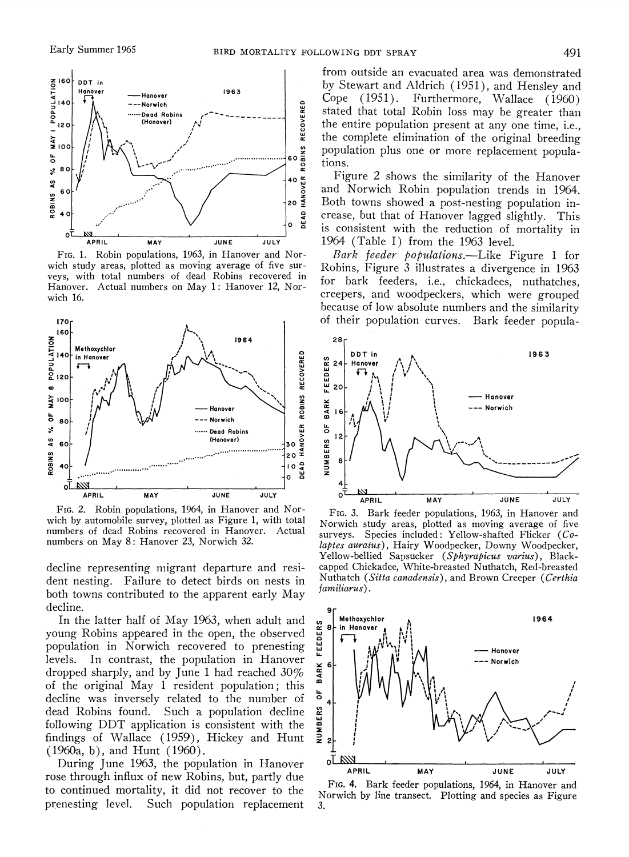

FIG. 1. Robin populations, 1963, in Hanover and Norwich study areas, plotted as moving average of five surveys, with total numbers of dead Robins recovered in Hanover. Actual numbers on May 1: Hanover 12, Norwich 16.



FIG. 2. Robin populations, 1964, in Hanover and Norwich by automobile survey, plotted as Figure 1, with total numbers of dead Robins recovered in Hanover. Actual numbers on May 8: Hanover 23, Norwich 32.

decline representing migrant departure and resident nesting. Failure to detect birds on nests in both towns contributed to the apparent early May decline.

In the latter half of May 1963, when adult and young Robins appeared in the open, the observed population in Norwich recovered to prenesting levels. In contrast, the population in Hanover dropped sharply, and by June 1 had reached 30% of the original May 1 resident population; this decline was inversely related to the number of dead Robins found. Such a population decline following DDT application is consistent with the findings of Wallace (1959), Hickey and Hunt  $(1960a, b)$ , and Hunt  $(1960)$ .

During June 1963, the population in Hanover rose through influx of new Robins. but, partly due to continued mortality, it did not recover to the prenesting level. Such population replacement

from outside an evacuated area was demonstrated by Stewart and Aldrich ( 1951), and Hensley and Cope (1951). Furthermore, Wallace (1960) stated that total Robin loss may be greater than the entire population present at any one time, i.e., the complete elimination of the original breeding population plus one or more replacement populations.

Figure 2 shows the similarity of the Hanover and Norwich Robin population trends in 1964. Both towns showed a post-nesting population increase, but that of Hanover lagged slightly. This is consistent with the reduction of mortality in 1964 (Table I) from the 1963 level.

Bark feeder populations.—Like Figure 1 for Robins, Figure 3 illustrates a divergence in 1963 for bark feeders, i.e., chickadees, nuthatches, creepers, and woodpeckers, which were grouped because of low absolute numbers and the similarity of their population curves. Bark feeder popula-



FIG. 3. Bark feeder populations, 1963, in Hanover and Norwich study areas, plotted as moving average of five surveys. Species included: Yellow-shafted Flicker (Colaptes auratus), Hairy Woodpecker, Downy Woodpecker, Yellow-bellied Sapsucker *(Sphyrapicus varius)* , Blackcapped Chickadee, White-breasted Nuthatch, Red-breasted Nuthatch *(Sitta canadensis),* and Brown Creeper *(Certhia*   $f$ *amiliarus*).



FIG.4. Bark feeder populations, 1964, in Hanover and Norwich by line transect. Plotting and species as Figure 3.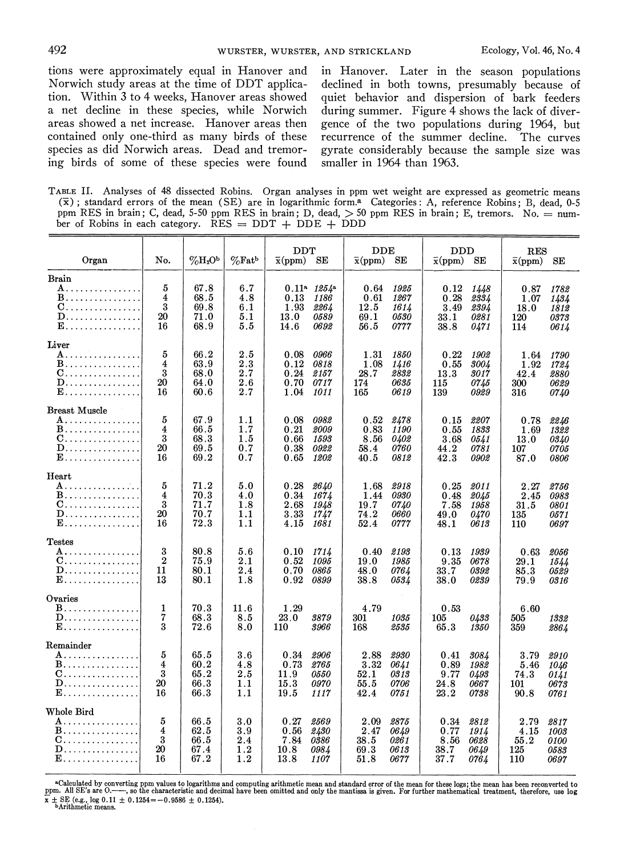tion. Within 3 to 4 weeks, Hanover areas showed quiet behavior and dispersion of bark feeders a net decline in these species, while Norwich during summer. Figure  $\overline{4}$  shows the lack of diver-<br>areas showed a net increase. Hanover areas then gence of the two populations during 1964, but contained only one-third as many birds of these recurrence of the summer decline. The curves species as did Norwich areas. Dead and tremor- gyrate considerably because the sample size was ing birds of some of these species were found smaller in 1964 than 1963. ing birds of some of these species were found

tions were approximately equal in Hanover and in Hanover. Later in the season populations Norwich study areas at the time of DDT applica- declined in both towns. presumably because of gence of the two populations during 1964, but

TABLE II. Analyses of 48 dissected Robins. Organ analyses in ppm wet weight are expressed as geometric means ( $\overline{x}$ ); standard errors of the mean (SE) are in logarithmic form.<sup>a</sup> Categories: A, reference Robins; B, dead ppm RES in brain; C, dead, 5-50 ppm RES in brain; D, dead,  $>$  50 ppm RES in brain; E, tremors. No. = num-<br>ppm RES in brain; C, dead, 5-50 ppm RES in brain; D, dead,  $>$  50 ppm RES in brain; E, tremors. No. = number of Robins in each category.  $\overline{RES} = DDT + DDE + DDD$ 

| Organ                                                                                      | No.                                           | $\%H_2O^b$                           | $\%$ Fatb                                     | DDT<br>$_{\rm DDE}$<br>$\bar{x}$ (ppm)<br>SЕ<br>$\bar{x}$ (ppm)<br>SЕ               |                                                                                     | $_{\rm DDD}$<br>$\bar{x}(ppm)$<br>$\rm SE$                                       | $_{\rm RES}$<br>$\bar{x}$ (ppm)<br>SE                                             |  |
|--------------------------------------------------------------------------------------------|-----------------------------------------------|--------------------------------------|-----------------------------------------------|-------------------------------------------------------------------------------------|-------------------------------------------------------------------------------------|----------------------------------------------------------------------------------|-----------------------------------------------------------------------------------|--|
| Brain<br>A.<br><b>B</b> .<br>0.<br>D.<br><b>E</b> .                                        | 5<br>$\overline{4}$<br>3<br>20<br>16          | 67.8<br>68.5<br>69.8<br>71.0<br>68.9 | 6.7<br>4.8<br>6.1<br>5.1<br>5.5               | $0.11^a$ $1254^a$<br>0.13<br>1186<br>1.93<br>2264<br>13.0<br>0589<br>14.6<br>0692   | 1925<br>0.64<br>0.61<br>1267<br>12.5<br>1614<br>69.1<br>0530<br>56.5<br>0777        | 0.12<br>1448<br>0.28<br>2334<br>3.49<br>2394<br>33.1<br>0281<br>38.8<br>0471     | 0.87<br>1782<br>1.07<br>1434<br>18.0<br>1812<br>120<br>0373<br>114<br>0614        |  |
| Liver<br>A.<br><b>B</b> .<br>C.<br>${\bf D}.\,\dots\dots\dots\dots\dots\,.$<br><b>E</b> .  | 5<br>$\overline{4}$<br>3<br>20<br>16          | 66.2<br>63.9<br>68.0<br>64.0<br>60.6 | $2.5\,$<br>2.3<br>2.7<br>2.6<br>2.7           | 0.08<br>0966<br>0.12<br>0818<br>0.24<br>2157<br>0.70<br>0717<br>1.04<br>1011        | 1.31<br>1850<br>1.08<br>1416<br>28.7<br>2832<br>0635<br>174<br>165<br>0619          | 0.22<br>1902<br>0.55<br>3004<br>13.3<br>3017<br>0745<br>115<br>139<br>0929       | 1.64<br>1790<br>1.92<br>1724<br>42.4<br>2880<br>300<br>0629<br>316<br>0740        |  |
| <b>Breast Muscle</b><br>A.<br>B.<br>C.<br>D.<br>$\mathbf{E} \dots \dots \dots \dots \dots$ | 5<br>4<br>3<br>20<br>16                       | 67.9<br>66.5<br>68.3<br>69.5<br>69.2 | 1.1<br>1.7<br>1.5<br>0.7<br>0.7               | 0.08<br>0982<br>0.21<br>2009<br>0.66<br>1593<br>0.38<br>0922<br>0.65<br>1202        | 0.52<br>2478<br>0.83<br><i>1190</i><br>8.56<br>0402<br>0760<br>58.4<br>40.5<br>0812 | 0.15<br>2207<br>0.55<br>1833<br>3.68<br>0541<br>44.2<br>0781<br>42.3<br>0902     | 0.78<br>2246<br>1.69<br>1322<br>13.0<br>0340<br>107<br>0705<br>87.0<br>0806       |  |
| Heart<br>A.<br>B.<br>C.<br>${\bf D} \dots \dots \dots \dots \dots \dots$<br><b>E</b>       | 5<br>$\overline{\mathbf{4}}$<br>3<br>20<br>16 | 71.2<br>70.3<br>71.7<br>70.7<br>72.3 | 5.0<br>4.0<br>1.8<br>1.1<br>1.1               | 0.28<br>2640<br>0.34<br>1674<br>2.68<br>1948<br>3.33<br>1747<br>4.15<br>1681        | 2918<br>1.68<br>0930<br>1.44<br>19.7<br>0740<br>74.2<br>0660<br>52.4<br>0777        | 0.25<br>2011<br>0.48<br>2045<br>7.58<br>1958<br>49.0<br>0470<br>48.1<br>0613     | 2.27<br>2756<br>2.45<br>0983<br>31.5<br>0801<br>135<br><i>0571</i><br>110<br>0697 |  |
| Testes<br>A.<br>C.<br>${\bf D} \dots \dots \dots \dots \dots \dots$<br><b>E</b> .          | 3<br>$\boldsymbol{2}$<br>11<br>13             | 80.8<br>75.9<br>80.1<br>80.1         | 5.6<br>$2.1\,$<br>2.4<br>1.8                  | 0.10<br>1714<br>0.52<br>1095<br>0.70<br>0865<br>0.92<br>0899                        | 0.40<br>2193<br>1985<br>19.0<br>48.0<br>0764<br>38.8<br>0534                        | 0.13<br>1939<br>9.35<br>0678<br>0392<br>33.7<br>38.0<br>0239                     | 0.63<br>2056<br>29.1<br>1544<br>85.3<br>0529<br>79.9<br>0316                      |  |
| Ovaries<br><b>B</b> .<br>${\bf D}$<br><b>E</b> .                                           | 1<br>7<br>3                                   | 70.3<br>68.3<br>72.6                 | 11.6<br>8.5<br>8.0                            | 1.29<br>23.0<br>3879<br>110<br>3966                                                 | 4.79<br>301<br>1035<br>168<br>2535                                                  | 0.53<br>105<br>0433<br>65.3<br>1350                                              | 6.60<br>505<br>1332<br>359<br>2864                                                |  |
| Remainder<br>A.<br>B.<br>0.<br>$\mathbf{D}, \ldots, \ldots, \ldots, \ldots$<br><b>E</b> .  | 5<br>4<br>3<br>20<br>16                       | 65.5<br>60.2<br>65.2<br>66.3<br>66.3 | 3.6<br>4.8<br>2.5<br>1.1<br>1.1               | 0.34<br>2906<br>0.73<br>2765<br>11.9<br><i>0550</i><br>15.3<br>0970<br>19.5<br>1117 | 2.88<br>2930<br>3.32<br>0641<br>52.1<br>0313<br>55.5<br>0706<br>42.4<br>0751        | 3084<br>0.41<br>0.89<br>1982<br>9.77<br>0493<br>24.8<br>0667<br>23.2<br>0738     | 3.79<br>2910<br>5.46<br>1046<br>74.3<br>0141<br>101<br>0673<br>90.8<br>0761       |  |
| Whole Bird<br>A.<br>B.<br>0.<br>D.<br><b>E</b> .                                           | 5<br>4<br>3<br>20<br>16                       | 66.5<br>62.5<br>66.5<br>67.4<br>67.2 | $_{3.0}$<br>$_{\rm 3.9}$<br>2.4<br>1.2<br>1.2 | 0.27<br>2569<br>0.56<br>2430<br>7.84<br>0386<br>10.8<br>0984<br>13.8<br><i>1107</i> | 2.09<br>2875<br>2.47<br>0649<br>$38.5\,$<br>0261<br>69.3<br>0613<br>51.8<br>0677    | 0.34<br>2812<br>0.77<br>1914<br>8.56<br>0628<br>38.7<br>0649<br>$37.7\,$<br>0764 | 2.79<br>2817<br>4.15<br>1003<br>55.2<br><i>0100</i><br>125<br>0583<br>110<br>0697 |  |

<sup>4</sup>Calculated by converting ppm values to logarithms and computing arithmetic mean and standard error of the mean for these logs; the mean has been reconverted to ppm. All SE's are 0. The standard error of the mean for th  $\overline{x} \pm \text{SE}$  (e.g., log  $0.11 \pm 0.1254 = -0.9586 \pm 0.1254$ ).<br>bArithmetic means.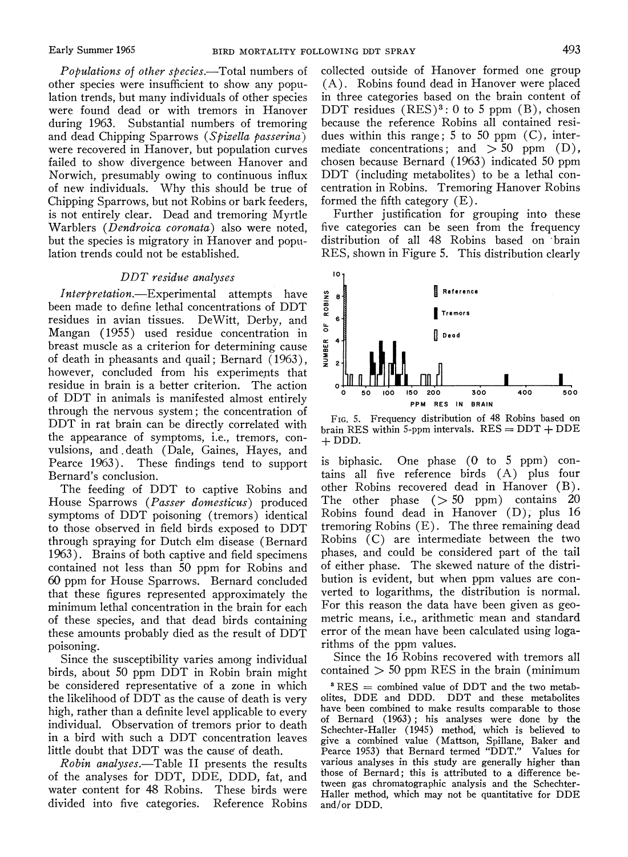Populations of other species.—Total numbers of other species were insufficient to show any population trends, but many individuals of other species were found dead or with tremors in Hanover during 1963. Substantial numbers of tremoring and dead Chipping Sparrows (Spizella passerina) were recovered in Hanover, but population curves failed to show divergence between Hanover and Norwich, presumably owing to continuous influx of new individuals. Why this should be true of Chipping Sparrows, but not Robins or bark feeders, is not entirely clear. Dead and tremoring Myrtle Warblers (Dendroica coronata) also were noted, but the species is migratory in Hanover and population trends could not be established.

#### DDT residue analyses

Interpretation.—Experimental attempts have been made to define lethal concentrations of DDT residues in avian tissues. DeWitt, Derby, and Mangan (1955) used residue concentration in breast muscle as a criterion for determining cause of death in pheasants and quail ; Bernard ( 1963), however, concluded from his experiments that residue in brain is a better criterion. The action of DDT in animals is manifested almost entirely through the nervous system; the concentration of DDT in rat brain can be directly correlated with the appearance of symptoms, i.e., tremors, convulsions, and . death (Dale, Gaines, Hayes, and Pearce 1963). These findings tend to support Bernard's conclusion.

The feeding of DDT to captive Robins and House Sparrows (Passer domesticus) produced symptoms of DDT poisoning (tremors) identical to those observed in field birds exposed to DDT through spraying for Dutch elm disease (Bernard 1963). Brains of both captive and field specimens contained not less than 50 ppm for Robins and 60 ppm for House Sparrows. Bernard concluded that these figures represented approximately the minimum lethal concentration in the brain for each of these species, and that dead birds containing these amounts probably died as the result of DDT poisoning.

Since the susceptibility varies among individual birds, about 50 ppm DDT in Robin brain might be considered representative of a zone in which the likelihood of DDT as the cause of death is very high, rather than a definite level applicable to every individual. Observation of tremors prior to death in a bird with such a DDT concentration leaves little doubt that DDT was the cause of death.

Robin analyses.—Table II presents the results of the analyses for DDT, DDE, DDD, fat, and water content for 48 Robins. These birds were divided into five categories. Reference Robins collected outside of Hanover formed one group (A). Robins found dead in Hanover were placed in three categories based on the brain content of DDT residues  $(RES)^3$ : 0 to 5 ppm  $(B)$ , chosen because the reference Robins all contained residues within this range;  $5$  to  $50$  ppm  $(C)$ , intermediate concentrations; and  $> 50$  ppm (D), chosen because Bernard (1963) indicated 50 ppm DDT (including metabolites) to be a lethal concentration in Robins. Tremoring Hanover Robins formed the fifth category (E).

Further justification for grouping into these five categories can be seen from the frequency distribution of all 48 Robins based on brain RES, shown in Figure 5. This distribution clearly



FIG. 5. Frequency distribution of 48 Robins based on brain RES within 5-ppm intervals.  $RES = DDT + DDE$  $+$  DDD.

is biphasic. One phase (0 to 5 ppm) contains all five reference birds (A) plus four other Robins recovered dead in Hanover (B). The other phase  $(> 50$  ppm) contains 20 Robins found dead in Hanover (D), plus 16 tremoring Robins (E) . The three remaining dead Robins (C) are intermediate between the two phases, and could be considered part of the tail of either phase. The skewed nature of the distribution is evident, but when ppm values are converted to logarithms, the distribution is normal. For this reason the data have been given as geometric means, i.e., arithmetic mean and standard error of the mean have been calculated using logarithms of the ppm values.

Since the 16 Robins recovered with tremors all contained  $> 50$  ppm RES in the brain (minimum

 $RES =$  combined value of DDT and the two metabolites, DDE and DDD. DDT and these metabolites have been combined to make results comparable to those of Bernard (1%3) ; his analyses were done by the Schechter-Haller (1945) method, which is believed to give a combined value (Mattson, Spillane, Baker and Pearce 1953) that Bernard termed "DDT." Values for various analyses in this study are generally higher than those of Bernard; this is attributed to a difference between gas chromatographic analysis and the Schechter-Haller method, which may not be quantitative for DDE and/or DDD.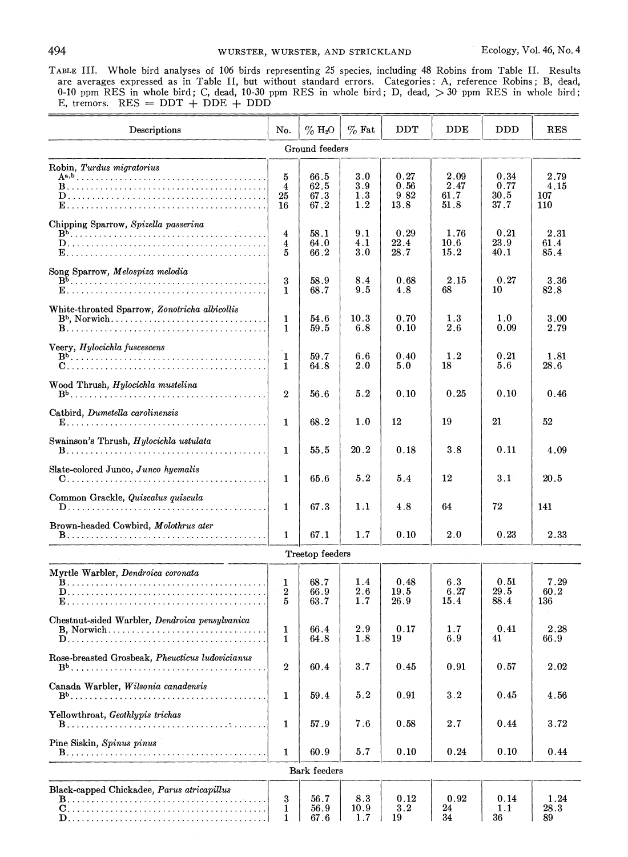TABLE111. Whole bird analyses of 106 birds representing 25 species, including 48 Robins from Table 11. Results are averages expressed as in Table 11, but without standard errors. Categories: A, reference Robins; B, dead, 0-10 ppm RES in whole bird; C, dead, 10-30 ppm RES in whole bird; D, dead, >30 ppm RES in whole bird:  $E$ , tremors. RES = DDT + DDE + DDD

| Descriptions                                    | No.                        | $\%$ H <sub>2</sub> O        | $\%$ Fat                 | DDT                          | $_{\rm DDE}$                 | <b>DDD</b>                   | <b>RES</b>                 |
|-------------------------------------------------|----------------------------|------------------------------|--------------------------|------------------------------|------------------------------|------------------------------|----------------------------|
| Ground feeders                                  |                            |                              |                          |                              |                              |                              |                            |
| Robin, Turdus migratorius                       | 5<br>4<br>25<br>16         | 66.5<br>62.5<br>67.3<br>67.2 | 3.0<br>3.9<br>1.3<br>1.2 | 0.27<br>0.56<br>9.82<br>13.8 | 2.09<br>2.47<br>61.7<br>51.8 | 0.34<br>0.77<br>30.5<br>37.7 | 2.79<br>4.15<br>107<br>110 |
| Chipping Sparrow, Spizella passerina            | $\overline{4}$<br>4<br>5   | 58.1<br>64.0<br>66.2         | 9.1<br>4.1<br>3.0        | 0.29<br>22.4<br>28.7         | 1.76<br>10.6<br>15.2         | 0.21<br>23.9<br>40.1         | 2.31<br>61.4<br>85.4       |
| Song Sparrow, Melospiza melodia                 | 3<br>1                     | 58.9<br>68.7                 | 8.4<br>9.5               | 0.68<br>4.8                  | 2.15<br>68                   | 0.27<br>10                   | 3.36<br>82.8               |
| White-throated Sparrow, Zonotricha albicollis   | 1<br>1                     | 54.6<br>59.5                 | 10.3<br>6.8              | 0.70<br>0.10                 | 1.3<br>2.6                   | 1.0<br>0.09                  | 3.00<br>2.79               |
| Veery, Hylocichla fuscescens                    | 1<br>1                     | 59.7<br>64.8                 | 6.6<br>2.0               | 0.40<br>5.0                  | 1.2<br>18                    | 0.21<br>5.6                  | 1.81<br>28.6               |
| Wood Thrush, Hylocichla mustelina               | $\overline{2}$             | 56.6                         | 5.2                      | 0.10                         | 0.25                         | 0.10                         | 0.46                       |
| Catbird, Dumetella carolinensis                 | 1                          | 68.2                         | 1.0                      | 12                           | 19                           | 21                           | 52                         |
| Swainson's Thrush, Hylocichla ustulata          | 1                          | 55.5                         | 20.2                     | 0.18                         | 3.8                          | 0.11                         | 4.09                       |
| Slate-colored Junco, Junco hyemalis             | 1                          | 65.6                         | 5.2                      | 5.4                          | 12                           | 3.1                          | 20.5                       |
| Common Grackle, Quiscalus quiscula<br>.<br>D.   | 1                          | 67.3                         | 1.1                      | 4.8                          | 64                           | 72                           | 141                        |
| Brown-headed Cowbird, Molothrus ater            | 1                          | 67.1                         | 1.7                      | 0.10                         | 2.0                          | 0.23                         | 2.33                       |
|                                                 |                            | Treetop feeders              |                          |                              |                              |                              |                            |
| Myrtle Warbler, Dendroica coronata              | 1<br>$\boldsymbol{2}$<br>5 | 68.7<br>66.9<br>63.7         | 1.4<br>2.6<br>1.7        | 0.48<br>19.5<br>26.9         | 6.3<br>6.27<br>15.4          | 0.51<br>29.5<br>88.4         | 7.29<br>60.2<br>136        |
| Chestnut-sided Warbler, Dendroica pensylvanica  | 1<br>1                     | 66.4<br>64.8                 | 2.9<br>1.8               | 0.17<br>19                   | 1.7<br>6.9                   | 0.41<br>41                   | 2.28<br>66.9               |
| Rose-breasted Grosbeak, Pheucticus ludovicianus | $\boldsymbol{2}$           | 60.4                         | 3.7                      | 0.45                         | 0.91                         | 0.57                         | 2.02                       |
| Canada Warbler, Wilsonia canadensis             | 1                          | 59.4                         | 5.2                      | 0.91                         | 3.2                          | 0.45                         | 4.56                       |
| Yellowthroat, Geothlypis trichas                | 1                          | 57.9                         | 7.6                      | 0.58                         | 2.7                          | 0.44                         | 3.72                       |
| Pine Siskin, Spinus pinus                       | 1                          | 60.9                         | 5.7                      | 0.10                         | 0.24                         | 0.10                         | 0.44                       |
| Bark feeders                                    |                            |                              |                          |                              |                              |                              |                            |
| Black-capped Chickadee, Parus atricapillus      | $\bf{3}$<br>1<br>1         | 56.7<br>56.9<br>67.6         | 8.3<br>10.9<br>$1.7\,$   | 0.12<br>3.2<br>19            | 0.92<br>24<br>34             | 0.14<br>1.1<br>36            | 1.24<br>28.3<br>89         |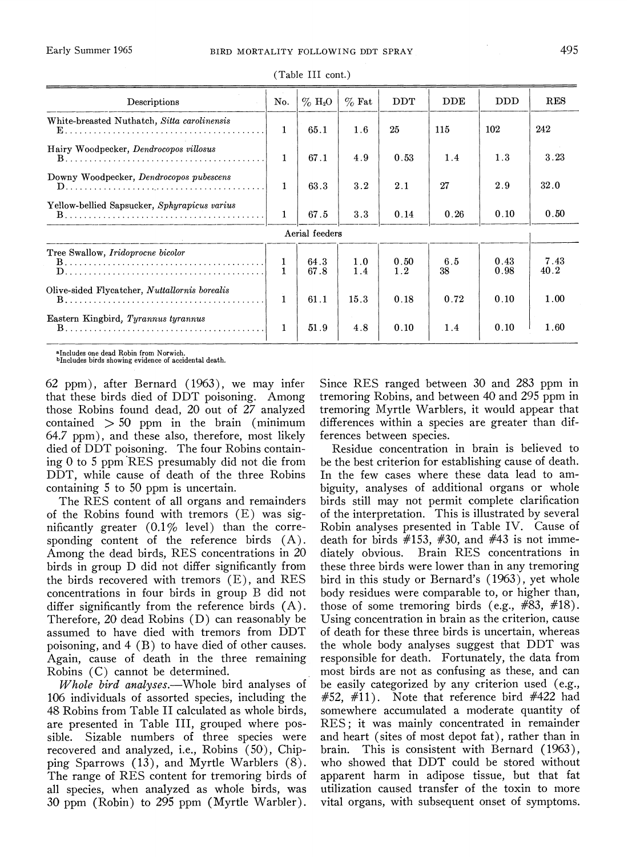|                                                    |              | (Table III cont.)     |            |             |              |              |              |
|----------------------------------------------------|--------------|-----------------------|------------|-------------|--------------|--------------|--------------|
| Descriptions                                       | No.          | $\%$ H <sub>2</sub> O | $\%$ Fat   | <b>DDT</b>  | $_{\rm DDE}$ | <b>DDD</b>   | <b>RES</b>   |
| White-breasted Nuthatch, Sitta carolinensis        | 1            | 65.1                  | 1.6        | 25          | 115          | 102          | 242          |
| Hairy Woodpecker, Dendrocopos villosus             | $\mathbf{1}$ | 67.1                  | 4.9        | 0.53        | 1.4          | 1.3          | 3.23         |
| Downy Woodpecker, Dendrocopos pubescens            | $\mathbf{1}$ | 63.3                  | 3.2        | 2.1         | 27           | 2.9          | 32.0         |
| Yellow-bellied Sapsucker, Sphyrapicus varius       | 1            | 67.5                  | 3.3        | 0.14        | 0.26         | 0.10         | 0.50         |
|                                                    |              | Aerial feeders        |            |             |              |              |              |
| Tree Swallow, Iridoprocne bicolor                  | 1            | 64.3<br>67.8          | 1.0<br>1.4 | 0.50<br>1.2 | 6.5<br>38    | 0.43<br>0.98 | 7.43<br>40.2 |
| Olive-sided Flycatcher, Nuttallornis borealis      | 1            | 61.1                  | 15.3       | 0.18        | 0.72         | 0.10         | 1.00         |
| Eastern Kingbird, Tyrannus tyrannus                | 1            | 51.9                  | 4.8        | 0.10        | 1.4          | 0.10         | 1.60         |
| $\mathbf{r}$ , and $\mathbf{r}$ , and $\mathbf{r}$ |              |                       |            |             |              |              |              |

(Table I11 cont.)

<sup>s</sup>Includes one dead Robin from Norwich.<br><sup>b</sup>Includes birds showing evidence of accidental death.

62 ppm), after Bernard (1963), we may infer that these birds died of DDT poisoning. Among those Robins found dead, 20 out of 27 analyzed contained  $> 50$  ppm in the brain (minimum 64.7 pprn), and these also, therefore, most likely died of DDT poisoning. The four Robins containing 0 to 5 ppm'RES presumably did not die from DDT, while cause of death of the three Robins containing 5 to 50 ppm is uncertain.

The RES content of all organs and remainders of the Robins found with tremors (E) was significantly greater  $(0.1\%$  level) than the corresponding content of the reference birds  $(A)$ . Among the dead birds, RES concentrations in 20 birds in group D did not differ significantly from the birds recovered with tremors (E), and RES concentrations in four birds in group B did not differ significantly from the reference birds (A). Therefore, 20 dead Robins (D) can reasonably be assumed to have died with tremors from DDT poisoning, and 4 (B) to have died of other causes. Again, cause of death in the three remaining Robins (C) cannot be determined.

Whole bird analyses.—Whole bird analyses of 106 individuals of assorted species, including the 48 Robins from Table I1 calculated as whole birds, are presented in Table 111, grouped where possible. Sizable numbers of three species were recovered and analyzed, i.e., Robins (50), Chipping Sparrows (13), and Myrtle Warblers (8). The range of RES content for tremoring birds of all species, when analyzed as whole birds, was 30 ppm (Robin) to 295 ppm (Myrtle Warbler).

Since RES ranged between 30 and 283 ppm in tremoring Robins, and between 40 and 295 ppm in tremoring Myrtle Warblers, it would appear that differences within a species are greater than differences between species.

Residue concentration in brain is believed to be the best criterion for establishing cause of death. In the few cases where these data lead to ambiguity, analyses of additional organs or whole birds still may not permit complete clarification of the interpretation. This is illustrated by several Robin analyses presented in Table IV. Cause of death for birds  $\#153$ ,  $\#30$ , and  $\#43$  is not immediately obvious. Brain RES concentrations in these three birds were lower than in any tremoring bird in this study or Bernard's (1963), yet whole body residues were comparable to, or higher than, those of some tremoring birds (e.g.,  $#83, #18$ ). Using concentration in brain as the criterion, cause of death for these three birds is uncertain, whereas the whole body analyses suggest that DDT was responsible for death. Fortunately, the data from most birds are not as confusing as these, and can be easily categorized by any criterion used (e.g.,  $#52, #11$ . Note that reference bird  $#422$  had somewhere accumulated a moderate quantity of RES; it was mainly concentrated in remainder and heart (sites of most depot fat), rather than in brain. This is consistent with Bernard (1963), who showed that DDT could be stored without apparent harm in adipose tissue, but that fat utilization caused transfer of the toxin to more vital organs, with subsequent onset of symptoms.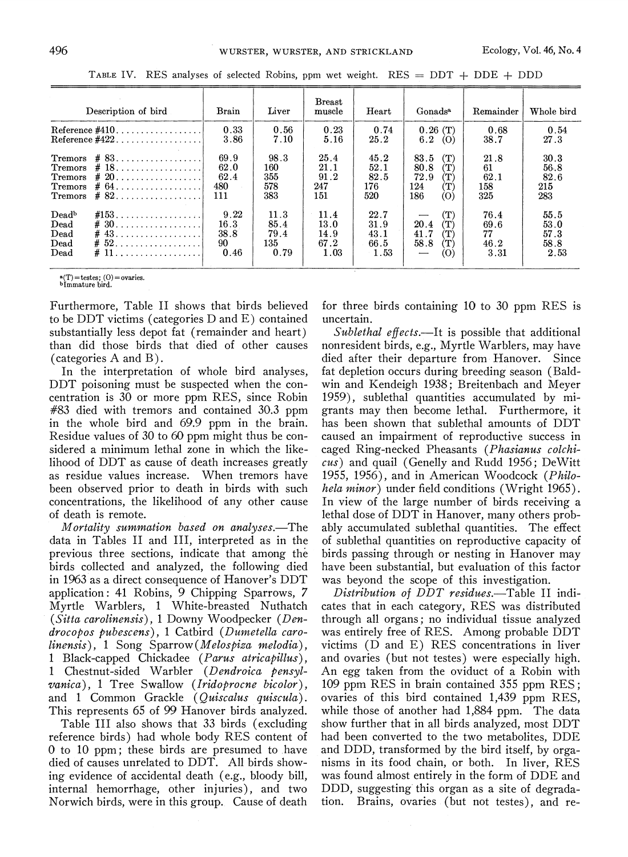|                                                                   | Description of bird                                                                                         | Brain                              | Liver                               | <b>Breast</b><br>muscle              | Heart                                   | Gonads <sup>a</sup>                                                                              | Remainder                          | Whole bird                           |
|-------------------------------------------------------------------|-------------------------------------------------------------------------------------------------------------|------------------------------------|-------------------------------------|--------------------------------------|-----------------------------------------|--------------------------------------------------------------------------------------------------|------------------------------------|--------------------------------------|
|                                                                   | Reference $\#410$                                                                                           | 0.33<br>3.86                       | 0.56<br>7.10                        | 0.23<br>5.16                         | 0.74<br>25.2                            | 0.26(T)<br>6.2<br>(O)                                                                            | 0.68<br>38.7                       | 0.54<br>27.3                         |
| Tremors<br>Tremors<br><b>Tremors</b><br>Tremors<br><b>Tremors</b> | # 83.<br>$\# 18. \ldots \ldots \ldots \ldots \ldots$<br>$\# 64 \ldots \ldots \ldots \ldots \ldots$<br>$#82$ | 69.9<br>62.0<br>62.4<br>480<br>111 | 98.3<br>160<br>355<br>578<br>383    | 25.4<br>21.1<br>91.2<br>247<br>151   | 45.2<br>52.1<br>82.5<br>176<br>520      | (T)<br>83.5<br>80.8<br>$(\mathrm{T})$<br>72.9<br>$(\mathrm{T})$<br>$\bf(T)$<br>124<br>186<br>(O) | 21.8<br>61<br>62.1<br>158<br>325   | 30.3<br>56.8<br>82.6<br>215<br>283   |
| Deadb<br>Dead<br>Dead<br>Dead<br>Dead                             | $\#$ 30<br>$\#$ 43<br># 52<br>$\#$ 11                                                                       | 9.22<br>16.3<br>38.8<br>90<br>0.46 | 11.3<br>85.4<br>79.4<br>135<br>0.79 | 11.4<br>13.0<br>14.9<br>67.2<br>1.03 | 22.7<br>31.9<br>43.1<br>66.5<br>$-1.53$ | (T)<br>20.4<br>$(\mathrm{T})$<br>41.7<br>T)<br>58.8<br>T)<br>(O)<br>—                            | 76.4<br>69.6<br>77<br>46.2<br>3.31 | 55.5<br>53.0<br>57.3<br>58.8<br>2.53 |

TABLE IV. RES analyses of selected Robins, ppm wet weight. RES =  $DDT + DDE + DDD$ 

a(T)=testes; (0)=ovaries. bImmature bird.

Furthermore, Table I1 shows that birds believed to be DDT victims (categories D and E) contained substantially less depot fat (remainder and heart) than did those birds that died of other causes (categories A and B).

In the interpretation of whole bird analyses, DDT poisoning must be suspected when the concentration is 30 or more ppm RES, since Robin #83 died with tremors and contained 30.3 ppm in the whole bird and 69.9 ppm in the brain. Residue values of 30 to 60 ppm might thus be considered a minimum lethal zone in which the likelihood of DDT as cause of death increases greatly as residue values increase. When tremors have been observed prior to death in birds with such concentrations, the likelihood of any other cause of death is remote.

Mortality summation based on analyses.—The data in Tables I1 and 111, interpreted as in the previous three sections, indicate that among the birds collected and analyzed, the following died in 1963 as a direct consequence of Hanover's DDT application: 41 Robins, 9 Chipping Sparrows, 7 Myrtle Warblers, 1 White-breasted Nuthatch (Sitta carolinensis), 1 Downy Woodpecker (Den $drocopos$  pubescens), 1 Catbird (Dumetella carolinensis), 1 Song Sparrow (Melospiza melodia), 1 Black-capped Chickadee (Parus atricapillus) , 1 Chestnut-sided Warbler (Dendroica pensylvanica), 1 Tree Swallow (Iridoprocne bicolor), and 1 Common Grackle (Quiscalus quiscula). This represents 65 of 99 Hanover birds analyzed.

Table I11 also shows that 33 birds (excluding reference birds) had whole body RES content of 0 to 10 ppm; these birds are presumed to have died of causes unrelated to DDT. All birds showing evidence of accidental death (e.g., bloody bill, internal hemorrhage, other injuries), and two Norwich birds, were in this group. Cause of death

for three birds containing 10 to 30 ppm RES is uncertain.

Sublethal effects.—It is possible that additional nonresident birds, e.g., Myrtle Warblers, may have died after their departure from Hanover. Since fat depletion occurs during breeding season (Baldwin and Kendeigh 1938; Breitenbach and Meyer 1959), sublethal quantities accumulated by migrants may then become lethal. Furthermore, it has been shown that sublethal amounts of DDT caused an impairment of reproductive success in caged Ring-necked Pheasants (Phasianus colchicus) and quail (Genelly and Rudd 1956; DeWitt 1955, 1956), and in American Woodcock (Philohela minor) under field conditions (Wright 1965). In view of the large number of birds receiving a lethal dose of DDT in Hanover, many others probably accumulated sublethal quantities. The effect of sublethal quantities on reproductive capacity of birds passing through or nesting in Hanover may have been substantial, but evaluation of this factor was beyond the scope of this investigation.

Distribution of DDT residues.-Table II indicates that in each category, RES was distributed through all organs; no individual tissue analyzed was entirely free of RES. Among probable DDT victims (D and E) RES concentrations in liver and ovaries (but not testes) were especially high. An egg taken from the oviduct of a Robin with 109 ppm RES in brain contained 355 ppm RES; ovaries of this bird contained 1,439 ppm RES, while those of another had 1,884 ppm. The data show further that in all birds analyzed, most DDT had been converted to the two metabolites, DDE and DDD, transformed by the bird itself, by organisms in its food chain, or both. In liver, RES was found almost entirely in the form of DDE and DDD, suggesting this organ as a site of degradation. Brains, ovaries (but not testes), and re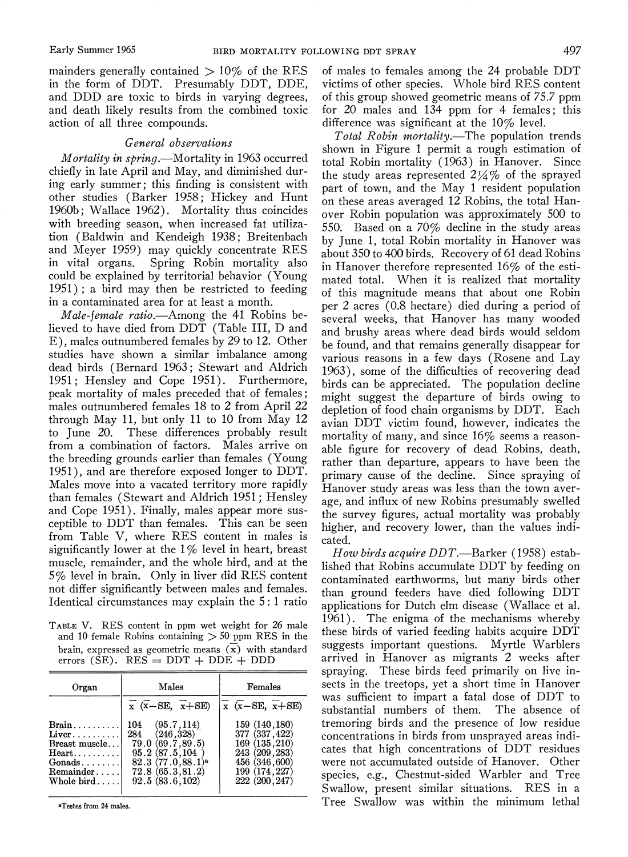mainders generally contained  $> 10\%$  of the RES in the form of DDT. Presumably DDT, DDE, and DDD are toxic to birds in varying degrees, and death likely results from the combined toxic action of all three compounds.

#### General observations

*Mortality in spring.*—Mortality in 1963 occurred chiefly in late April and May, and diminished during early summer; this finding is consistent with other studies (Barker 1958; Hickey and Hunt 1960b; Wallace 1962). Mortality thus coincides with breeding season, when increased fat utilization (Baldwin and Kendeigh 1938; Breitenbach and Meyer 1959) may quickly concentrate RES in vital organs. Spring Robin mortality also could be explained by territorial behavior (Young  $1951$ ; a bird may then be restricted to feeding in a contaminated area for at least a month.

Male-female ratio.—Among the 41 Robins believed to have died from DDT (Table III, D and E), males outnumbered females by 29 to 12. Other studies have shown a similar imbalance among dead birds (Bernard 1963; Stewart and Aldrich 1951; Hensley and Cope 1951). Furthermore, peak mortality of males preceded that of females; males outnumbered females 18 to 2 from April 22 through May 11, but only 11 to 10 from May 12 to June 20. These differences probably result from a combination of factors. Males arrive on the breeding grounds earlier than females (Young 1951), and are therefore exposed longer to DDT. Males move into a vacated territory more rapidly than females (Stewart and Aldrich 1951; Hensley and Cope 1951). Finally, males appear more susceptible to DDT than females. This can be seen from Table V, where RES content in males is significantly lower at the  $1\%$  level in heart, breast muscle, remainder, and the whole bird, and at the 5% level in brain. Only in liver did RES content not differ significantly between males and females. Identical circumstances may explain the 5:1 ratio

TABLE V. RES content in ppm wet weight for 26 male and 10 female Robins containing  $> 50$  ppm RES in the brain, expressed as geometric means  $(\overline{x})$  with standard errors (SE).  $RES = DDT + DDE + DDD$ 

| Organ                                                                                                                    | Males                                                                                                                                                | Females                                                                                                                  |  |  |  |  |
|--------------------------------------------------------------------------------------------------------------------------|------------------------------------------------------------------------------------------------------------------------------------------------------|--------------------------------------------------------------------------------------------------------------------------|--|--|--|--|
|                                                                                                                          | $\overline{x}$ ( $\overline{x}$ – SE, $\overline{x}$ + SE)                                                                                           | $\overline{x}$ $(\overline{x} - SE, \overline{x} + SE)$                                                                  |  |  |  |  |
| $Brain \ldots \ldots$<br>Liver<br>Breast muscle<br>Heart<br>$Gonads \ldots \ldots$<br>Remainder<br>Whole $bird \ldots$ . | (95.7, 114)<br>104<br>(246, 328)<br>284<br>79.0 (69.7,89.5)<br>95.2(87.5.104)<br>82.3(77.0, 88.1) <sup>a</sup><br>72.8(65.3.81.2)<br>92.5(83.6, 102) | 159 (140, 180)<br>377 (337, 422)<br>169 (135,210)<br>243 (209, 283)<br>456 (346,600)<br>199 (174, 227)<br>222 (200, 247) |  |  |  |  |

aTestes from 24 males.

of males to females among the 24 probable DDT victims of other species. Whole bird RES content of this group showed geometric means of 75.7 ppm for 20 males and 134 ppm for 4 females; this difference was significant at the  $10\%$  level.

Total Robin mortality.-The population trends shown in Figure 1 permit a rough estimation of total Robin mortality (1963) in Hanover. Since the study areas represented  $2\frac{1}{4}\%$  of the sprayed part of town, and the May 1 resident population on these areas averaged 12 Robins, the total Hanover Robin population was approximately 500 to 550. Based on a 70% decline in the study areas by June 1, total Robin mortality in Hanover was about 350 to 400 birds. Recovery of 61 dead Robins in Hanover therefore represented  $16\%$  of the estimated total. When it is realized that mortality of this magnitude means that about one Robin per 2 acres (0.8 hectare) died during a period of several weeks, that Hanover has many wooded and brushy areas where dead birds would seldom be found, and that remains generally disappear for various reasons in a few days (Rosene and Lay 1963), some of the difficulties of recovering dead birds can be appreciated. The population decline might suggest the departure of birds owing to depletion of food chain organisms by DDT. Each avian DDT victim found, however, indicates the mortality of many, and since  $16\%$  seems a reasonable figure for recovery of dead Robins, death, rather than departure, appears to have been the primary cause of the decline. Since spraying of Hanover study areas was less than the town average, and influx of new Robins presumably swelled the survey figures, actual mortality was probably higher, and recovery lower, than the values indicated.

How birds acquire DDT.—Barker (1958) established that Robins accumulate DDT by feeding on contaminated earthworms, but many birds other than ground feeders have died following DDT applications for Dutch elm disease (Wallace et al. 1961). The enigma of the mechanisms whereby these birds of varied feeding habits acquire DDT suggests important questions. Myrtle Warblers arrived in Hanover as migrants 2 weeks after spraying. These birds feed primarily on live insects in the treetops, yet a short time in Hanover was sufficient to impart a fatal dose of DDT to substantial numbers of them. The absence of tremoring birds and the presence of low residue concentrations in birds from unsprayed areas indicates that high concentrations of DDT residues were not accumulated outside of Hanover. Other species, e.g., Chestnut-sided Warbler and Tree Swallow, present similar situations. RES in a Tree Swallow was within the minimum lethal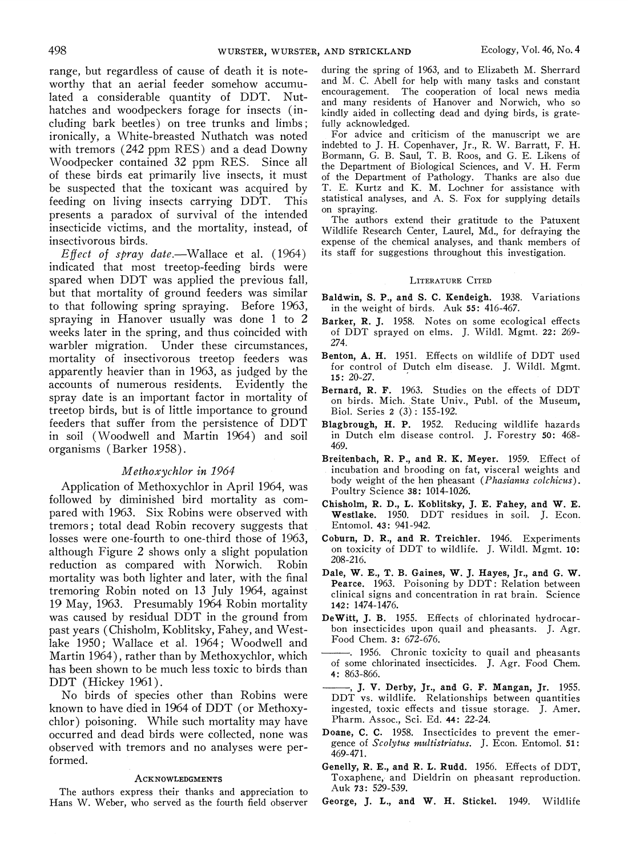range, but regardless of cause of death it is noteworthy that an aerial feeder somehow accumulated a considerable quantity of DDT. Nuthatches and woodpeckers forage for insects (including bark beetles) on tree trunks and limbs; ironically, a White-breasted Nuthatch was noted with tremors (242 ppm RES) and a dead Downy Woodpecker contained 32 ppm RES. Since all of these birds eat primarily live insects, it must be suspected that the toxicant was acquired by feeding on living insects carrying DDT. This presents a paradox of survival of the intended insecticide victims, and the mortality, instead, of insectivorous birds.

Effect of spray date.—Wallace et al.  $(1964)$ indicated that most treetop-feeding birds were spared when DDT was applied the previous fall, but that mortality of ground feeders was similar to that following spring spraying. Before 1963, spraying in Hanover usually was done 1 to 2 weeks later in the spring, and thus coincided with warbler migration. Under these circumstances, mortality of insectivorous treetop feeders was apparently heavier than in 1963, as judged by the accounts of numerous residents. Evidently the spray date is an important factor in mortality of treetop birds, but is of little importance to ground feeders that suffer from the persistence of DDT in soil (Woodwell and Martin 1964) and soil organisms (Barker 1958).

#### Methoxychlor in 1964

Application of Methoxychlor in April 1964, was followed by diminished bird mortality as compared with 1963. Six Robins were observed with tremors; total dead Robin recovery suggests that losses were one-fourth to one-third those of 1963, although Figure 2 shows only a slight population reduction as compared with Norwich. Robin mortality was both lighter and later, with the final tremoring Robin noted on 13 July 1964, against 19 May, 1963. Presumably 1964 Robin mortality was caused by residual DDT in the ground from past years (Chisholm, Koblitsky, Fahey, and Westlake 1950; Wallace et al. 1964; Woodwell and Martin 1964), rather than by Methoxychlor, which has been shown to be much less toxic to birds than DDT (Hickey 1961).

No birds of species other than Robins were known to have died in 1964 of DDT (or Methoxychlor) poisoning. While such mortality may have occurred and dead birds were collected, none was observed with tremors and no analyses were performed.

#### **ACKNOWLEDGMENTS**

The authors express their thanks and appreciation to Hans W. Weber, who served as the fourth field observer during the spring of 1963, and to Elizabeth M. Sherrard and M. C. Abell for help with many tasks and constant encouragement. The cooperation of local news media and many residents of Hanover and Norwich, who so kindly aided in collecting dead and dying birds, is gratefully acknowledged.

For advice and criticism of the manuscript we are indebted to J. H. Copenhaver, Jr., R. W. Barratt, F. H. Bormann, G. B. Saul, T. B. Roos, and G. E. Likens of the Department of Biological Sciences, and V. H. Ferm of the Department of Pathology. Thanks are also due T. E. Kurtz and K. M. Lochner for assistance with statistical analyses, and A. S. Fox for supplying details on spraying.

The authors extend their gratitude to the Patuxent Wildlife Research Center, Laurel, Md., for defraying the expense of the chemical analyses; and thank members of its staff for suggestions throughout this investigation.

#### **LITERATURE CITED**

- Baldwin, S. P., and S. C. Kendeigh. 1938. Variations in the weight of birds. Auk 55: 416-467.
- Barker, R. J. 1958. Notes on some ecological effects of DDT sprayed on elms. J. Wildl. Mgmt. 22: 269- 274.
- Benton, A. H. 1951. Effects on wildlife of DDT used for control of Dutch elm disease. J. Wildl. Mgmt. 15: 20-27.
- Bernard, R. F. 1963. Studies on the effects of DDT on birds. Mich. State Univ., Publ. of the Museum, Biol. Series 2 (3) : 155-192.
- Blagbrough, H. P. 1952. Reducing wildlife hazards in Dutch elm disease control. J. Forestry 50: 468- 469.
- Breitenbach, R. P., and R. K. Meyer. 1959. Effect of incubation and brooding on fat, visceral weights and body weight of the hen pheasant *(Phasianus colchicus)*. Poultry Science **38:** 1014-1026.
- Chisholm, R. D., L. Icoblitsky, J. E. Fahey, and W. E. Westlake. 1950. DDT residues in soil. J. Econ. Entomol. 43: 941-942.
- Coburn, D. R., and R. Treichler. 1946. Experiments on toxicity of DDT to wildlife. J. Wildl. Mgmt. 10: 208-216.
- Dale, W. E., T. B. Gaines, W. J. Hayes, Jr., and G. W. pearce. 1963. Poisoning by DDT: Relation between clinical signs and concentration in rat brain. Science 142: 1474-1476.
- DeWitt, J. B. 1955. Effects of chlorinated hydrocarbon insecticides upon quail and pheasants. J. Agr. Food Chem. 3: 672-676.
- -. 1956. Chronic toxicity to quail and pheasants of some chlorinated insecticides. J. Agr. Food Chem. 4: 863-866.
- -, J. V. Derby, Jr., and G. F. Mangan, Jr. 1955. DDT vs. wildlife. Relationships between quantities ingested, toxic effects and tissue storage. J. Amer. Pharm. Assoc., Sci. Ed. 44: 22-24.
- Doane, C. C. 1958. Insecticides to prevent the emergence of *Scolytus multistriatus*. J. Econ. Entomol. 51: 469-471,
- Genelly, R. E., and R. L. Rudd. 1956. Effects of DDT, Toxaphene, and Dieldrin on pheasant reproduction. Auk 73: 529-539.
- George, J. L., and W. H. Stickel. 1949. Wildlife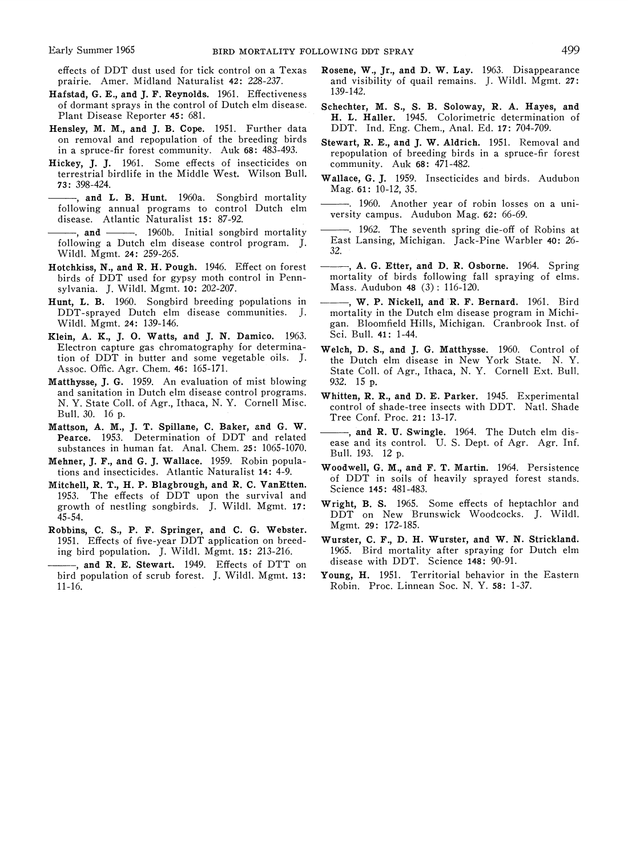- Hafstad, G. E., and J. F. Reynolds. 1961. Effectiveness of dormant sprays in the control of Dutch elm disease.
- Hensley, M. M., and J. B. Cope. 1951. Further data DDT. Ind. Eng. Chem., Anal. Ed. **17:** 704-709.
- Hickey, J. J. 1961. Some effects of insecticides on terrestrial birdlife in the Middle West. Wilson Bull.
- -, and L. B. Hunt. 1960a. Songbird mortality<br>following annual programs to control Dutch elm **Example 1951.** Further data and the method is the set of the breeding birds stewart<br>
in a spruce-fir forest community. Auk 68: 483-493. The repoplickey, J. J. 1961. Some effects of insecticides on community. Auk 68: 483-----, and L. B. Hunt. 1960a. Songbird mortality<br>
following annual programs to control Dutch elm<br>
disease. Atlantic Naturalist 15: 87-92.<br> **and** ---, 1960b. Initial songbird mortality . 1962. The seventh spring die-off of R
- Wildl. Mgmt. 24: 259-265.
- birds of DDT used for gypsy moth control in Penns~lvania.J. Wildl. Mgmt. **10:** 202-207. Mass. Audubon **48** (3) : 116-120.
- Hunt, L. B. 1960. Songbird breeding populations in  $---$ , W. P. Nickell, and R. F. Bernard. 1961. Bird DDT-sprayed Dutch elm disease communities. J. mortality in the Dutch elm disease program in Michi-DDT-sprayed Dutch elm disease communities. J. Wildl. Mgmt. 24: 139-146.
- Klein, A. K., J. 0. Watts, and J. N. Damico. 1963. Sci. Bull. **41:** 1-44. Electron capture gas chromatography for determina- Welch, D. S., and J. **G.** Matthysse. 1960. Control of
- Matthysse, J. G. 1959. An evaluation of mist blowing 932. 15 p. and sanitation in Dutch elm disease control programs. Whitten, R. R., and D. E. Parker. 1945. Experimental N. Y. State Coll. of Agr., Ithaca, N. Y. Cornell Misc. control of shade-tree insects with DDT. Natl. Shade
- Mattson, A. M., J. T. Spillane, C. Baker, and G. W. Pearce. 1953. Determination of DDT and related
- 
- 1953. The effects of DDT upon the survival and<br>growth of nestling songbirds. J. Wildl. Mgmt. 17: Wright, B. S. 1965. Some effects of heptachlor and<br>45-54. DDT on New Brunswick Woodcocks. J. Wildl.
- Robbins, C. S., P. F. Springer, and C. G. Webster. Mgmt. 29: 172-185.<br>1951. Effects of five-vear DDT application on breed- Wurster, C. F., D. H. Wurster, and W. N. Strickland.
- -- , and R. E. Stewart. 1949. Effects of DTT on disease with DDT. Science **148:** 90-91. bird population of scrub forest. J. Wildl. Mgmt. 13: 11-16. Robin. Proc. Linnean Soc. N. Y. **58:** 1-37.
- effects of DDT dust used for tick control on a Texas Rosene, W., Jr., and D. W. Lay. 1963. Disappearance<br>prairie. Amer. Midland Naturalist 42: 228-237. and visibility of quail remains. J. Wildl. Mgmt. 27: and visibility of quail remains. J. Wildl. Mgmt. 27: 139-142.
- of dormant sprays in the control of Dutch elm disease. Schechter, M. S., S. B. Soloway, R. **A.** Hayes, and H. L. Haller. 1945. Colorimetric determination of
- on removal and repopulation of the breeding birds Stewart, R. E., and J. W. Aldrich. 1951. Removal and in a spruce-fir forest community. Auk **68:**  $483-493$ . repopulation of breeding birds in a spruce-fir forest in a spruc
- terrestrial birdlife in the Middle West. Wilson Bull. Wallace, **G.**J. 1959, Insecticides and birds, Audubol, **73:** 398-424. Mag. **61:** 10-12, 35.
	- --- 1960. Another year of robin losses on a uni-<br>versity campus. Audubon Mag. 62: 66-69.
- disease. Atlantic Naturalist **15:** 87-92.<br>**Atlantic Naturalist 15:** 87-92. versity campus. Audubon Mag. **62:**  $\omega$ -99.<br>**And Atlantic** Naturalist **15:** 87-92. **1962.** The seventh spring die-off of Robins at following a Dutch elm disease control program. J. East Lansing, Michigan. Jack-Pine Warbler **40:** 26-
- Hotchkiss, N., and R. H. Pough. 1946. Effect on forest ---, A. G. Etter, and D. R. Osborne. 1964. Spring<br>birds of DDT used for gypsy moth control in Penn-<br>mortality of birds following fall spraying of elms.
	- gan. Bloomfield Hills, Michigan. Cranbrook Inst. of
	- tion of DDT in butter and some vegetable oils. J. the Dutch elm disease in New York State. N. Y.<br>Assoc. Offic. Agr. Chem. 46: 165-171. State Coll. of Agr., Ithaca, N. Y. Cornell Ext. Bull.
	- N. Y. State Coll. of Agr., Ithaca, N. Y. Cornell Misc. control of shade-tree insects with DDT. Natl. Shade<br>Bull. 30. 16 p. (Control of Pres. Control Pres. 21: 13.17) Bull. 30. 16 p. Tree Conf. Proc. **21:** 13-17.
- mattson, A. M., J. I. Spinane, C. Baker, and G. W.<br>
Pearce. 1953. Determination of DDT and related<br>
substances in human fat. Anal. Chem. 25: 1065-1070.<br>
Mehner, J. F., and G. J. Wallace. 1959. Robin popula-<br>
tions and ins
	-
	- DDT on New Brunswick Woodcocks. J. Wildl.<br>Mgmt. 29: 172-185.
	- 1951. Effects of five-year DDT application on breed- Wurster, C. F., D. H. Wurster, and W. N. Strickland.<br>ing bird population. J. Wildl. Mgmt. 15: 213-216. 1965. Bird mortality after spraying for Dutch elm ing bird population. J. Wildl. Mgmt. 15: 213-216. 1965. Bird mortality after spraying for  $\frac{1000}{R}$  R. Stewart 1949. Fifects of DTT on disease with DDT. Science 148: 90-91.
		-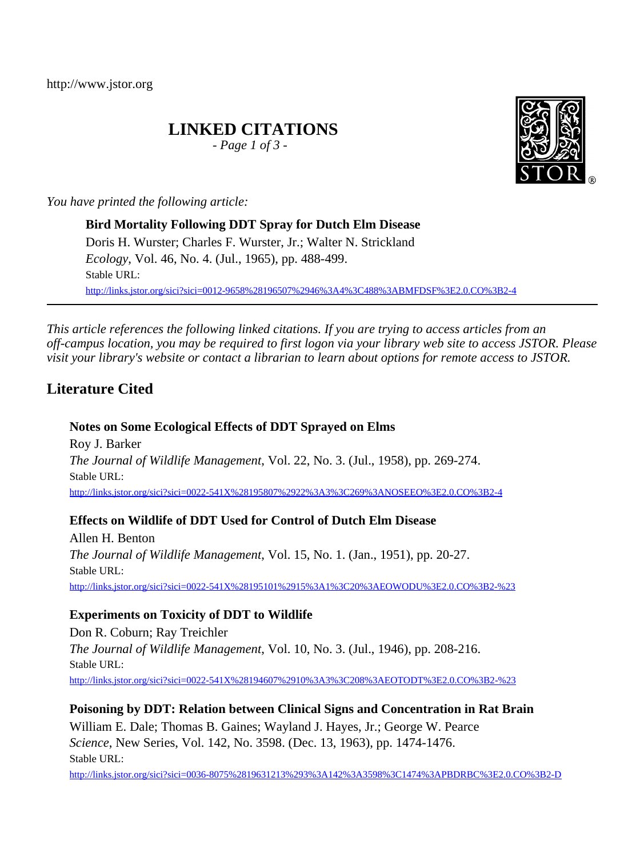http://www.jstor.org

# **LINKED CITATIONS**

*- Page 1 of 3 -*

*You have printed the following article:*

**Bird Mortality Following DDT Spray for Dutch Elm Disease** Doris H. Wurster; Charles F. Wurster, Jr.; Walter N. Strickland *Ecology*, Vol. 46, No. 4. (Jul., 1965), pp. 488-499. Stable URL: [http://links.jstor.org/sici?sici=0012-9658%28196507%2946%3A4%3C488%3ABMFDSF%3E2.0.CO%3B2-4](http://links.jstor.org/sici?sici=0012-9658%28196507%2946%3A4%3C488%3ABMFDSF%3E2.0.CO%3B2-4&origin=JSTOR-pdf)

*This article references the following linked citations. If you are trying to access articles from an off-campus location, you may be required to first logon via your library web site to access JSTOR. Please visit your library's website or contact a librarian to learn about options for remote access to JSTOR.*

# **Literature Cited**

## **Notes on Some Ecological Effects of DDT Sprayed on Elms**

Roy J. Barker *The Journal of Wildlife Management*, Vol. 22, No. 3. (Jul., 1958), pp. 269-274. Stable URL: [http://links.jstor.org/sici?sici=0022-541X%28195807%2922%3A3%3C269%3ANOSEEO%3E2.0.CO%3B2-4](http://links.jstor.org/sici?sici=0022-541X%28195807%2922%3A3%3C269%3ANOSEEO%3E2.0.CO%3B2-4&origin=JSTOR-pdf)

### **Effects on Wildlife of DDT Used for Control of Dutch Elm Disease**

Allen H. Benton *The Journal of Wildlife Management*, Vol. 15, No. 1. (Jan., 1951), pp. 20-27. Stable URL: [http://links.jstor.org/sici?sici=0022-541X%28195101%2915%3A1%3C20%3AEOWODU%3E2.0.CO%3B2-%23](http://links.jstor.org/sici?sici=0022-541X%28195101%2915%3A1%3C20%3AEOWODU%3E2.0.CO%3B2-%23&origin=JSTOR-pdf)

# **Experiments on Toxicity of DDT to Wildlife**

Don R. Coburn; Ray Treichler *The Journal of Wildlife Management*, Vol. 10, No. 3. (Jul., 1946), pp. 208-216. Stable URL: [http://links.jstor.org/sici?sici=0022-541X%28194607%2910%3A3%3C208%3AEOTODT%3E2.0.CO%3B2-%23](http://links.jstor.org/sici?sici=0022-541X%28194607%2910%3A3%3C208%3AEOTODT%3E2.0.CO%3B2-%23&origin=JSTOR-pdf)

### **Poisoning by DDT: Relation between Clinical Signs and Concentration in Rat Brain**

William E. Dale; Thomas B. Gaines; Wayland J. Hayes, Jr.; George W. Pearce *Science*, New Series, Vol. 142, No. 3598. (Dec. 13, 1963), pp. 1474-1476. Stable URL:

[http://links.jstor.org/sici?sici=0036-8075%2819631213%293%3A142%3A3598%3C1474%3APBDRBC%3E2.0.CO%3B2-D](http://links.jstor.org/sici?sici=0036-8075%2819631213%293%3A142%3A3598%3C1474%3APBDRBC%3E2.0.CO%3B2-D&origin=JSTOR-pdf)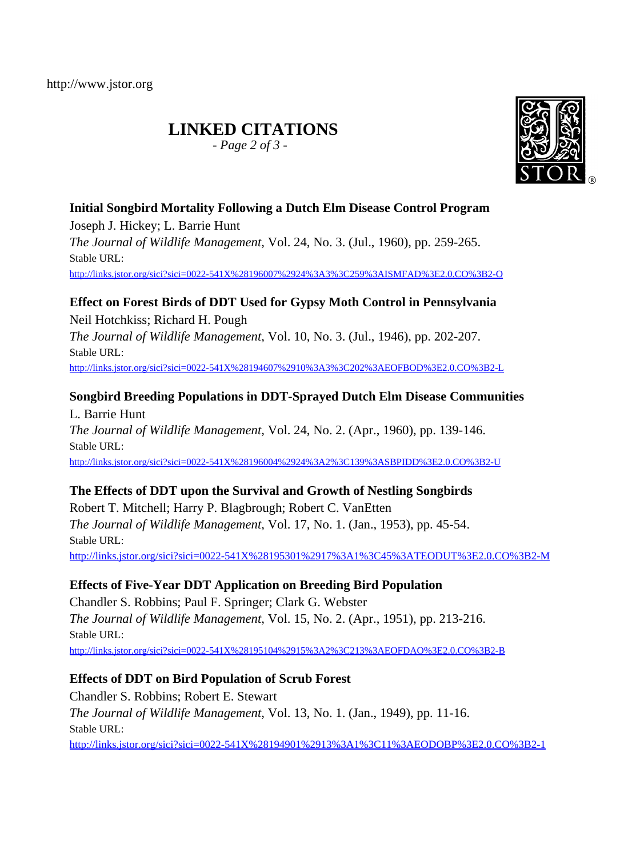# **LINKED CITATIONS**

*- Page 2 of 3 -*



# **Initial Songbird Mortality Following a Dutch Elm Disease Control Program**

Joseph J. Hickey; L. Barrie Hunt *The Journal of Wildlife Management*, Vol. 24, No. 3. (Jul., 1960), pp. 259-265. Stable URL: [http://links.jstor.org/sici?sici=0022-541X%28196007%2924%3A3%3C259%3AISMFAD%3E2.0.CO%3B2-O](http://links.jstor.org/sici?sici=0022-541X%28196007%2924%3A3%3C259%3AISMFAD%3E2.0.CO%3B2-O&origin=JSTOR-pdf)

## **Effect on Forest Birds of DDT Used for Gypsy Moth Control in Pennsylvania**

Neil Hotchkiss; Richard H. Pough *The Journal of Wildlife Management*, Vol. 10, No. 3. (Jul., 1946), pp. 202-207. Stable URL: [http://links.jstor.org/sici?sici=0022-541X%28194607%2910%3A3%3C202%3AEOFBOD%3E2.0.CO%3B2-L](http://links.jstor.org/sici?sici=0022-541X%28194607%2910%3A3%3C202%3AEOFBOD%3E2.0.CO%3B2-L&origin=JSTOR-pdf)

# **Songbird Breeding Populations in DDT-Sprayed Dutch Elm Disease Communities**

L. Barrie Hunt *The Journal of Wildlife Management*, Vol. 24, No. 2. (Apr., 1960), pp. 139-146. Stable URL: [http://links.jstor.org/sici?sici=0022-541X%28196004%2924%3A2%3C139%3ASBPIDD%3E2.0.CO%3B2-U](http://links.jstor.org/sici?sici=0022-541X%28196004%2924%3A2%3C139%3ASBPIDD%3E2.0.CO%3B2-U&origin=JSTOR-pdf)

# **The Effects of DDT upon the Survival and Growth of Nestling Songbirds**

Robert T. Mitchell; Harry P. Blagbrough; Robert C. VanEtten *The Journal of Wildlife Management*, Vol. 17, No. 1. (Jan., 1953), pp. 45-54. Stable URL: [http://links.jstor.org/sici?sici=0022-541X%28195301%2917%3A1%3C45%3ATEODUT%3E2.0.CO%3B2-M](http://links.jstor.org/sici?sici=0022-541X%28195301%2917%3A1%3C45%3ATEODUT%3E2.0.CO%3B2-M&origin=JSTOR-pdf)

### **Effects of Five-Year DDT Application on Breeding Bird Population**

Chandler S. Robbins; Paul F. Springer; Clark G. Webster *The Journal of Wildlife Management*, Vol. 15, No. 2. (Apr., 1951), pp. 213-216. Stable URL: [http://links.jstor.org/sici?sici=0022-541X%28195104%2915%3A2%3C213%3AEOFDAO%3E2.0.CO%3B2-B](http://links.jstor.org/sici?sici=0022-541X%28195104%2915%3A2%3C213%3AEOFDAO%3E2.0.CO%3B2-B&origin=JSTOR-pdf)

### **Effects of DDT on Bird Population of Scrub Forest**

Chandler S. Robbins; Robert E. Stewart *The Journal of Wildlife Management*, Vol. 13, No. 1. (Jan., 1949), pp. 11-16. Stable URL: [http://links.jstor.org/sici?sici=0022-541X%28194901%2913%3A1%3C11%3AEODOBP%3E2.0.CO%3B2-1](http://links.jstor.org/sici?sici=0022-541X%28194901%2913%3A1%3C11%3AEODOBP%3E2.0.CO%3B2-1&origin=JSTOR-pdf)